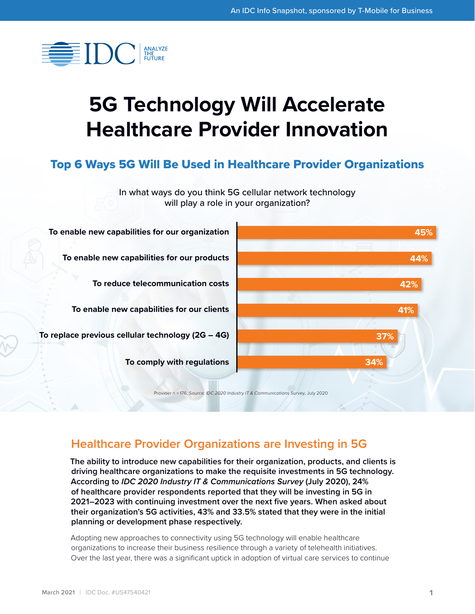

# **5G Technology Will Accelerate Healthcare Provider Innovation**

## Top 6 Ways 5G Will Be Used in Healthcare Provider Organizations



# **Healthcare Provider Organizations are Investing in 5G**

**The ability to introduce new capabilities for their organization, products, and clients is driving healthcare organizations to make the requisite investments in 5G technology. According to** *IDC 2020 Industry IT & Communications Survey* **(July 2020), 24% of healthcare provider respondents reported that they will be investing in 5G in 2021–2023 with continuing investment over the next five years. When asked about their organization's 5G activities, 43% and 33.5% stated that they were in the initial planning or development phase respectively.** 

Adopting new approaches to connectivity using 5G technology will enable healthcare organizations to increase their business resilience through a variety of telehealth initiatives. Over the last year, there was a significant uptick in adoption of virtual care services to continue